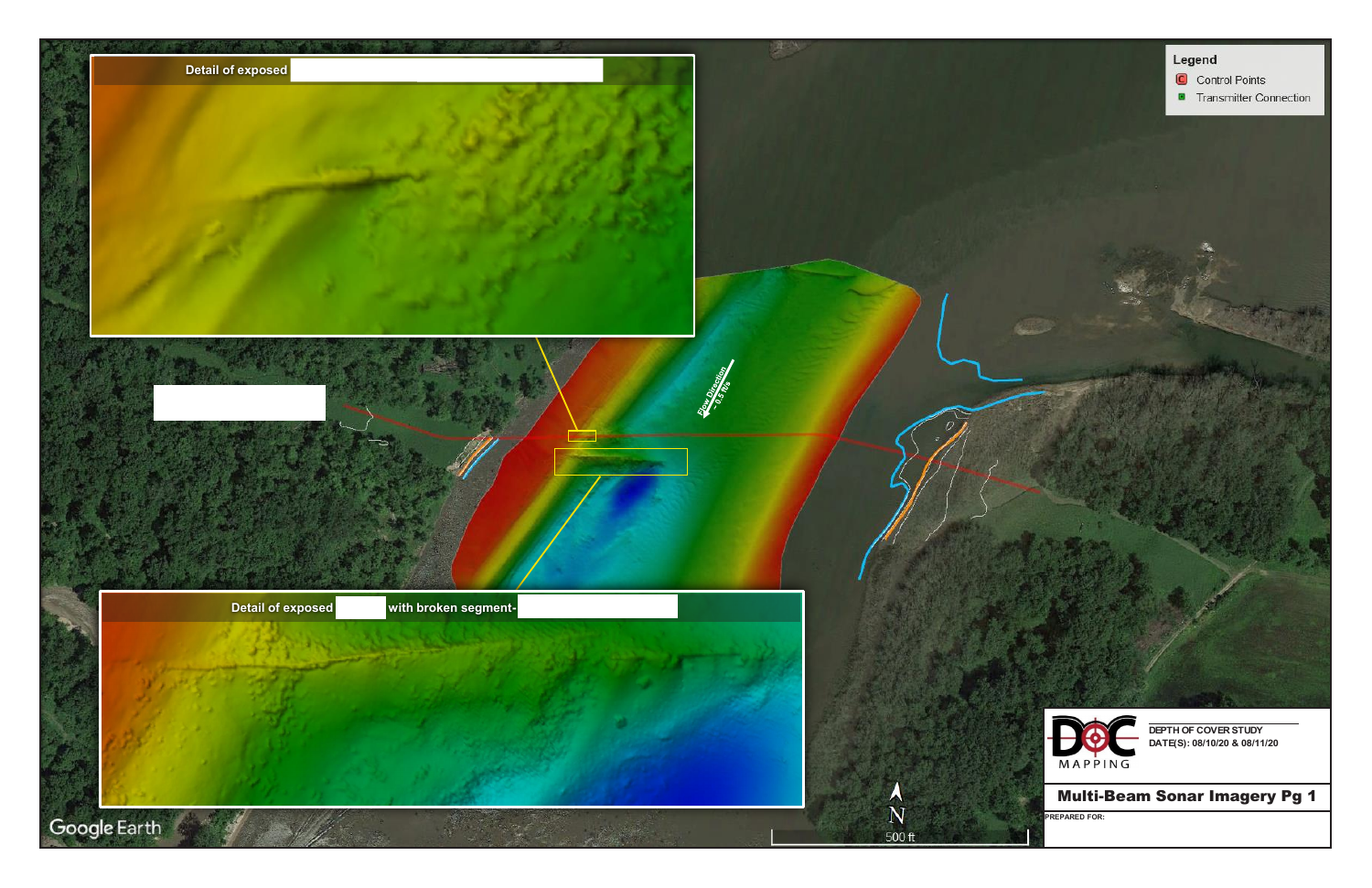**EAST FORT MADISON-MANHATTAN (20")**

**DEPTH OF COVER STUDY DATE(S): 08/10/20 & 08/11/20 DEPTH OF COVER STUDY DATE(S): 08/10/20 & 08/11/20**

Multi-Beam Sonar Imagery Pg 1

**PREPARED FOR:**



## Legend

C Control Points

**E** Transmitter Connection

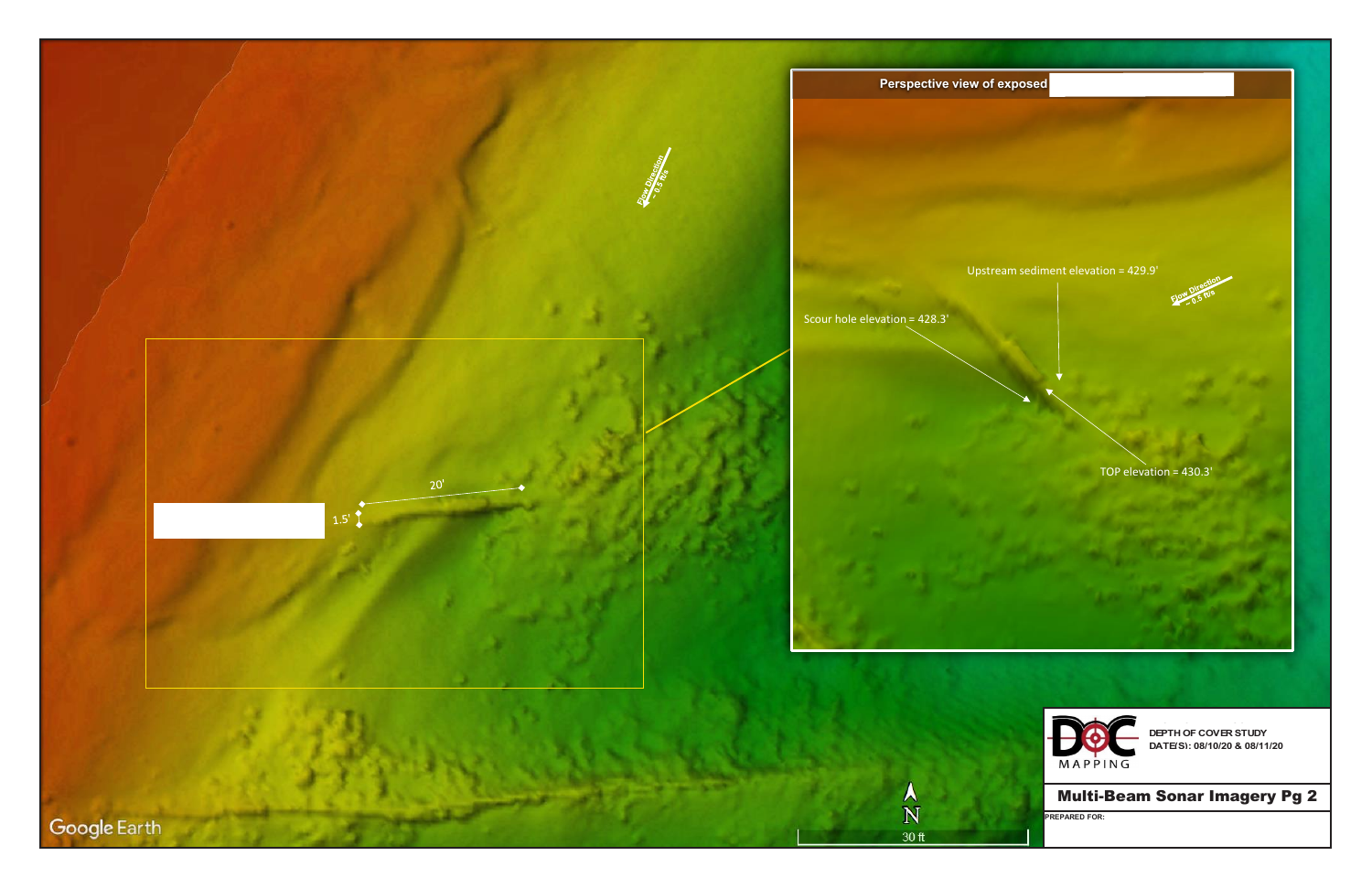**DEPTH OF COVER STUDY DATE(S): 08/10/20 & 08/11/20 DEPTH OF COVER STUDY DATE(S): 08/10/20 & 08/11/20**

**EAST FORT MADISON-MANHATTAN EAST FORT MADISON-MANHATTAN (20")**

Multi-Beam Sonar Imagery Pg 2

**PREPARED FOR:**





TOP elevation = 430.3'